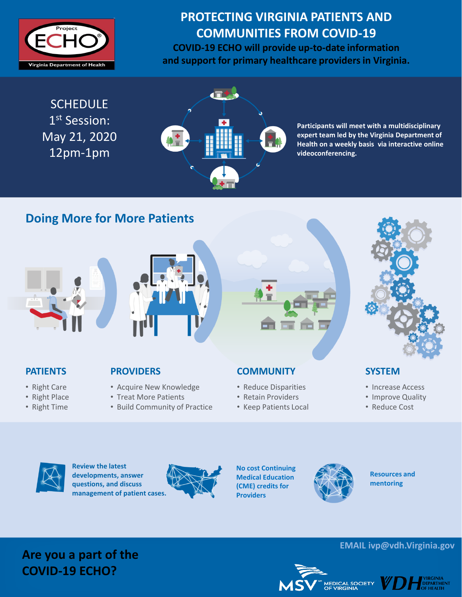

# **PROTECTING VIRGINIA PATIENTS AND COMMUNITIES FROM COVID-19**

**COVID-19 ECHO will provide up-to-date information and support for primary healthcare providers in Virginia.**

**SCHEDULE** 1 st Session: May 21, 2020 12pm-1pm



**Participants will meet with a multidisciplinary expert team led by the Virginia Department of Health on a weekly basis via interactive online videoconferencing.**

### **Doing More for More Patients**





#### **PATIENTS**

- Right Care
- Right Place
- Right Time

#### **PROVIDERS**

- Acquire New Knowledge
- Treat More Patients
- Build Community of Practice

# **COMMUNITY**

- Reduce Disparities
- Retain Providers
- Keep Patients Local



#### **SYSTEM**

- Increase Access
- Improve Quality
- Reduce Cost



**Review the latest developments, answer questions, and discuss management of patient cases.** 



**No cost Continuing Medical Education (CME) credits for Providers**



**Resources and mentoring**

### **Are you a part of the COVID-19 ECHO?**

#### **EMAIL ivp@vdh.Virginia.gov**